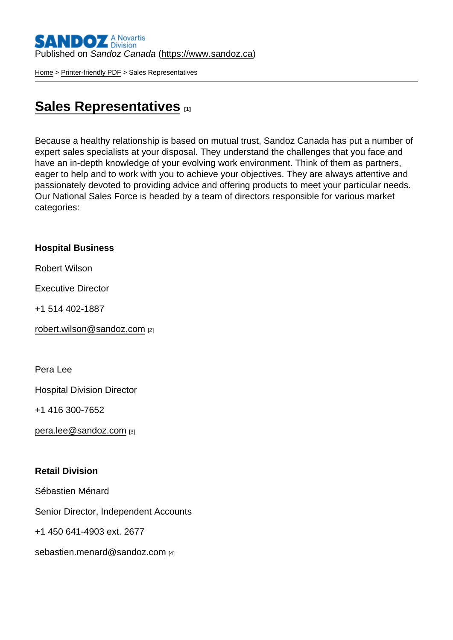[Home](https://www.sandoz.ca/en) > [Printer-friendly PDF](https://www.sandoz.ca/en/printpdf) > Sales Representatives

## [Sales Representatives](https://www.sandoz.ca/en/sales-representatives) [1]

Because a healthy relationship is based on mutual trust, Sandoz Canada has put a number of expert sales specialists at your disposal. They understand the challenges that you face and have an in-depth knowledge of your evolving work environment. Think of them as partners, eager to help and to work with you to achieve your objectives. They are always attentive and passionately devoted to providing advice and offering products to meet your particular needs. Our National Sales Force is headed by a team of directors responsible for various market categories:

Hospital Business

Robert Wilson

Executive Director

+1 514 402-1887

[robert.wilson@sandoz.com](mailto:robert.wilson@sandoz.com) [2]

Pera Lee

Hospital Division Director

+1 416 300-7652

[pera.lee@sandoz.com](mailto:pera.lee@sandoz.com) [3]

Retail Division

Sébastien Ménard

Senior Director, Independent Accounts

+1 450 641-4903 ext. 2677

[sebastien.menard@sandoz.com](mailto:Pierre.damour@sandoz.com) [4]